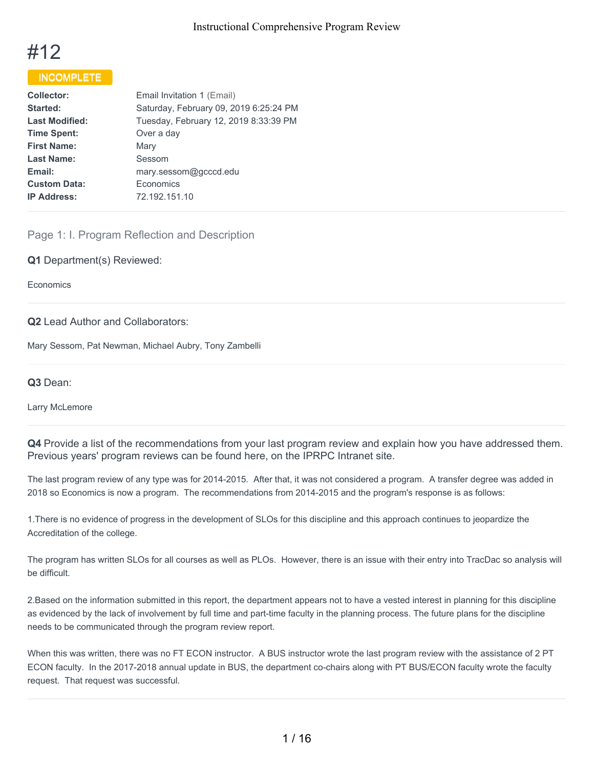# #12

# INCOMPLETE

| <b>Collector:</b>     | Email Invitation 1 (Email)             |
|-----------------------|----------------------------------------|
| Started:              | Saturday, February 09, 2019 6:25:24 PM |
| <b>Last Modified:</b> | Tuesday, February 12, 2019 8:33:39 PM  |
| <b>Time Spent:</b>    | Over a day                             |
| <b>First Name:</b>    | Mary                                   |
| <b>Last Name:</b>     | Sessom                                 |
| Email:                | mary.sessom@gcccd.edu                  |
| <b>Custom Data:</b>   | Economics                              |
| <b>IP Address:</b>    | 72.192.151.10                          |
|                       |                                        |

# Page 1: I. Program Reflection and Description

#### **Q1** Department(s) Reviewed:

**Economics** 

#### **Q2** Lead Author and Collaborators:

Mary Sessom, Pat Newman, Michael Aubry, Tony Zambelli

#### **Q3** Dean:

Larry McLemore

**Q4** Provide a list of the recommendations from your last program review and explain how you have addressed them. Previous years' program reviews can be found here, on the IPRPC Intranet site.

The last program review of any type was for 2014-2015. After that, it was not considered a program. A transfer degree was added in 2018 so Economics is now a program. The recommendations from 2014-2015 and the program's response is as follows:

1.There is no evidence of progress in the development of SLOs for this discipline and this approach continues to jeopardize the Accreditation of the college.

The program has written SLOs for all courses as well as PLOs. However, there is an issue with their entry into TracDac so analysis will be difficult.

2.Based on the information submitted in this report, the department appears not to have a vested interest in planning for this discipline as evidenced by the lack of involvement by full time and part-time faculty in the planning process. The future plans for the discipline needs to be communicated through the program review report.

When this was written, there was no FT ECON instructor. A BUS instructor wrote the last program review with the assistance of 2 PT ECON faculty. In the 2017-2018 annual update in BUS, the department co-chairs along with PT BUS/ECON faculty wrote the faculty request. That request was successful.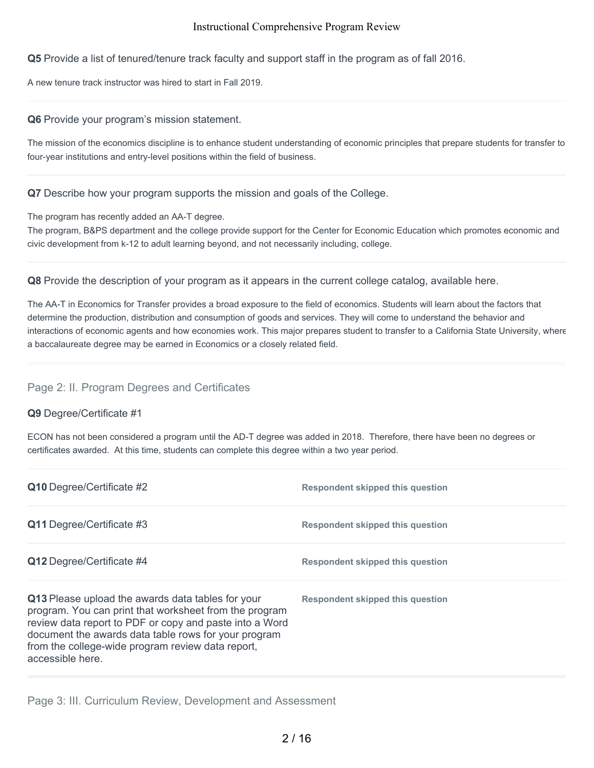**Q5** Provide a list of tenured/tenure track faculty and support staff in the program as of fall 2016.

A new tenure track instructor was hired to start in Fall 2019.

#### **Q6** Provide your program's mission statement.

The mission of the economics discipline is to enhance student understanding of economic principles that prepare students for transfer to four-year institutions and entry-level positions within the field of business.

#### **Q7** Describe how your program supports the mission and goals of the College.

The program has recently added an AA-T degree.

The program, B&PS department and the college provide support for the Center for Economic Education which promotes economic and civic development from k-12 to adult learning beyond, and not necessarily including, college.

#### **Q8** Provide the description of your program as it appears in the current college catalog, available here.

The AA-T in Economics for Transfer provides a broad exposure to the field of economics. Students will learn about the factors that determine the production, distribution and consumption of goods and services. They will come to understand the behavior and interactions of economic agents and how economies work. This major prepares student to transfer to a California State University, where a baccalaureate degree may be earned in Economics or a closely related field.

## Page 2: II. Program Degrees and Certificates

#### **Q9** Degree/Certificate #1

ECON has not been considered a program until the AD-T degree was added in 2018. Therefore, there have been no degrees or certificates awarded. At this time, students can complete this degree within a two year period.

| Q10 Degree/Certificate #2                                                                                                                                                                                                                                                                               | Respondent skipped this question        |
|---------------------------------------------------------------------------------------------------------------------------------------------------------------------------------------------------------------------------------------------------------------------------------------------------------|-----------------------------------------|
| Q11 Degree/Certificate #3                                                                                                                                                                                                                                                                               | <b>Respondent skipped this question</b> |
| Q12 Degree/Certificate #4                                                                                                                                                                                                                                                                               | Respondent skipped this question        |
| Q13 Please upload the awards data tables for your<br>program. You can print that worksheet from the program<br>review data report to PDF or copy and paste into a Word<br>document the awards data table rows for your program<br>from the college-wide program review data report,<br>accessible here. | Respondent skipped this question        |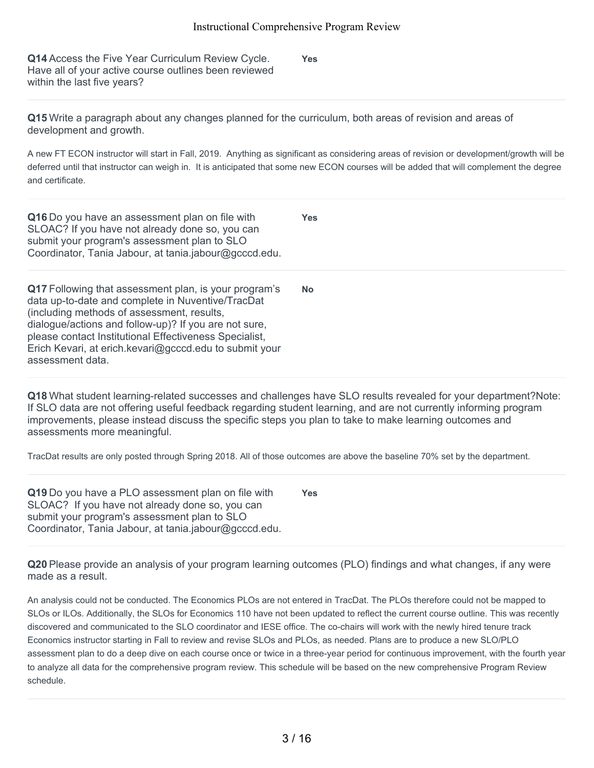**Yes**

**Q14** Access the Five Year Curriculum Review Cycle. Have all of your active course outlines been reviewed within the last five years?

**Q15** Write a paragraph about any changes planned for the curriculum, both areas of revision and areas of development and growth.

A new FT ECON instructor will start in Fall, 2019. Anything as significant as considering areas of revision or development/growth will be deferred until that instructor can weigh in. It is anticipated that some new ECON courses will be added that will complement the degree and certificate.

**Q16** Do you have an assessment plan on file with SLOAC? If you have not already done so, you can submit your program's assessment plan to SLO Coordinator, Tania Jabour, at tania.jabour@gcccd.edu. **Yes**

**Q17** Following that assessment plan, is your program's data up-to-date and complete in Nuventive/TracDat (including methods of assessment, results, dialogue/actions and follow-up)? If you are not sure, please contact Institutional Effectiveness Specialist, Erich Kevari, at erich.kevari@gcccd.edu to submit your assessment data. **No**

**Q18** What student learning-related successes and challenges have SLO results revealed for your department?Note: If SLO data are not offering useful feedback regarding student learning, and are not currently informing program improvements, please instead discuss the specific steps you plan to take to make learning outcomes and assessments more meaningful.

TracDat results are only posted through Spring 2018. All of those outcomes are above the baseline 70% set by the department.

**Q19** Do you have a PLO assessment plan on file with SLOAC? If you have not already done so, you can submit your program's assessment plan to SLO Coordinator, Tania Jabour, at tania.jabour@gcccd.edu.

**Yes**

**Q20** Please provide an analysis of your program learning outcomes (PLO) findings and what changes, if any were made as a result.

An analysis could not be conducted. The Economics PLOs are not entered in TracDat. The PLOs therefore could not be mapped to SLOs or ILOs. Additionally, the SLOs for Economics 110 have not been updated to reflect the current course outline. This was recently discovered and communicated to the SLO coordinator and IESE office. The co-chairs will work with the newly hired tenure track Economics instructor starting in Fall to review and revise SLOs and PLOs, as needed. Plans are to produce a new SLO/PLO assessment plan to do a deep dive on each course once or twice in a three-year period for continuous improvement, with the fourth year to analyze all data for the comprehensive program review. This schedule will be based on the new comprehensive Program Review schedule.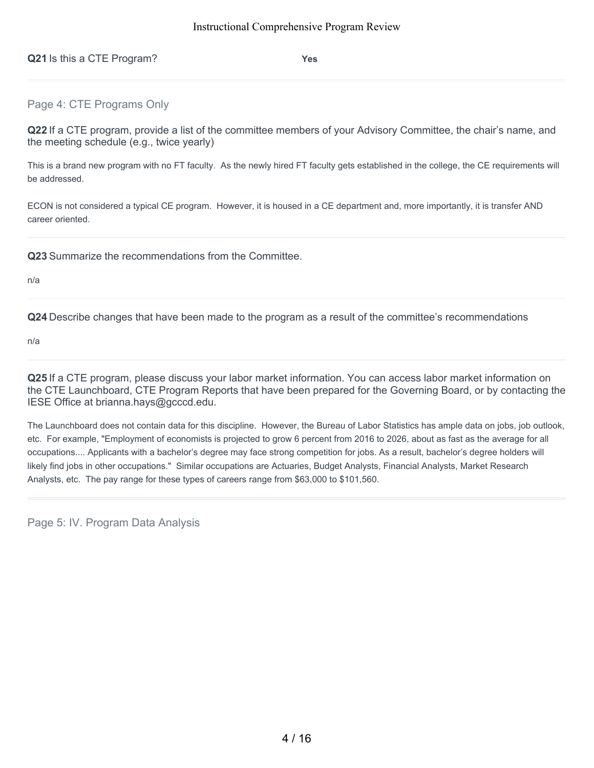| Q21 Is this a CTE Program? | <b>Yes</b> |
|----------------------------|------------|
|                            |            |

# Page 4: CTE Programs Only

**Q22** If a CTE program, provide a list of the committee members of your Advisory Committee, the chair's name, and the meeting schedule (e.g., twice yearly)

This is a brand new program with no FT faculty. As the newly hired FT faculty gets established in the college, the CE requirements will be addressed.

ECON is not considered a typical CE program. However, it is housed in a CE department and, more importantly, it is transfer AND career oriented.

**Q23** Summarize the recommendations from the Committee.

n/a

**Q24** Describe changes that have been made to the program as a result of the committee's recommendations

n/a

**Q25** If a CTE program, please discuss your labor market information. You can access labor market information on the CTE Launchboard, CTE Program Reports that have been prepared for the Governing Board, or by contacting the IESE Office at brianna.hays@gcccd.edu.

The Launchboard does not contain data for this discipline. However, the Bureau of Labor Statistics has ample data on jobs, job outlook, etc. For example, "Employment of economists is projected to grow 6 percent from 2016 to 2026, about as fast as the average for all occupations.... Applicants with a bachelor's degree may face strong competition for jobs. As a result, bachelor's degree holders will likely find jobs in other occupations." Similar occupations are Actuaries, Budget Analysts, Financial Analysts, Market Research Analysts, etc. The pay range for these types of careers range from \$63,000 to \$101,560.

Page 5: IV. Program Data Analysis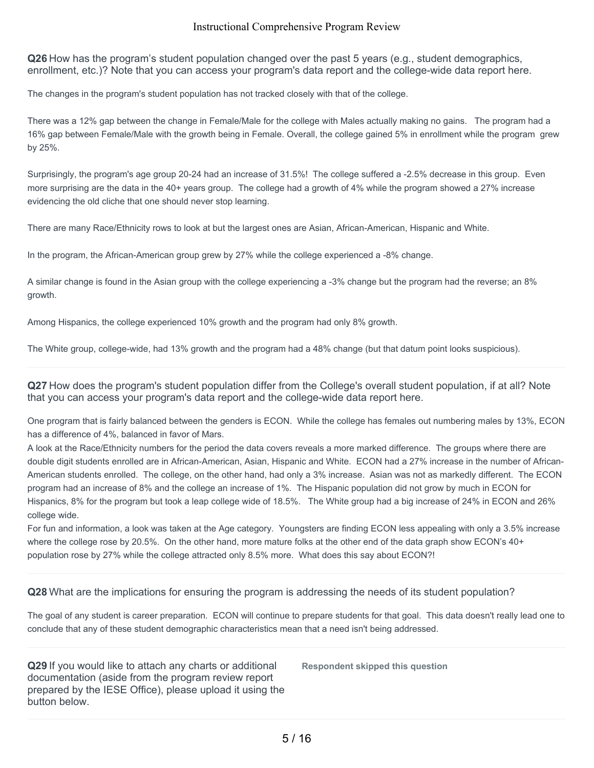**Q26** How has the program's student population changed over the past 5 years (e.g., student demographics, enrollment, etc.)? Note that you can access your program's data report and the college-wide data report here.

The changes in the program's student population has not tracked closely with that of the college.

There was a 12% gap between the change in Female/Male for the college with Males actually making no gains. The program had a 16% gap between Female/Male with the growth being in Female. Overall, the college gained 5% in enrollment while the program grew by 25%.

Surprisingly, the program's age group 20-24 had an increase of 31.5%! The college suffered a -2.5% decrease in this group. Even more surprising are the data in the 40+ years group. The college had a growth of 4% while the program showed a 27% increase evidencing the old cliche that one should never stop learning.

There are many Race/Ethnicity rows to look at but the largest ones are Asian, African-American, Hispanic and White.

In the program, the African-American group grew by 27% while the college experienced a -8% change.

A similar change is found in the Asian group with the college experiencing a -3% change but the program had the reverse; an 8% growth.

Among Hispanics, the college experienced 10% growth and the program had only 8% growth.

The White group, college-wide, had 13% growth and the program had a 48% change (but that datum point looks suspicious).

**Q27** How does the program's student population differ from the College's overall student population, if at all? Note that you can access your program's data report and the college-wide data report here.

One program that is fairly balanced between the genders is ECON. While the college has females out numbering males by 13%, ECON has a difference of 4%, balanced in favor of Mars.

A look at the Race/Ethnicity numbers for the period the data covers reveals a more marked difference. The groups where there are double digit students enrolled are in African-American, Asian, Hispanic and White. ECON had a 27% increase in the number of African-American students enrolled. The college, on the other hand, had only a 3% increase. Asian was not as markedly different. The ECON program had an increase of 8% and the college an increase of 1%. The Hispanic population did not grow by much in ECON for Hispanics, 8% for the program but took a leap college wide of 18.5%. The White group had a big increase of 24% in ECON and 26% college wide.

For fun and information, a look was taken at the Age category. Youngsters are finding ECON less appealing with only a 3.5% increase where the college rose by 20.5%. On the other hand, more mature folks at the other end of the data graph show ECON's 40+ population rose by 27% while the college attracted only 8.5% more. What does this say about ECON?!

**Q28** What are the implications for ensuring the program is addressing the needs of its student population?

The goal of any student is career preparation. ECON will continue to prepare students for that goal. This data doesn't really lead one to conclude that any of these student demographic characteristics mean that a need isn't being addressed.

**Q29** If you would like to attach any charts or additional documentation (aside from the program review report prepared by the IESE Office), please upload it using the button below.

**Respondent skipped this question**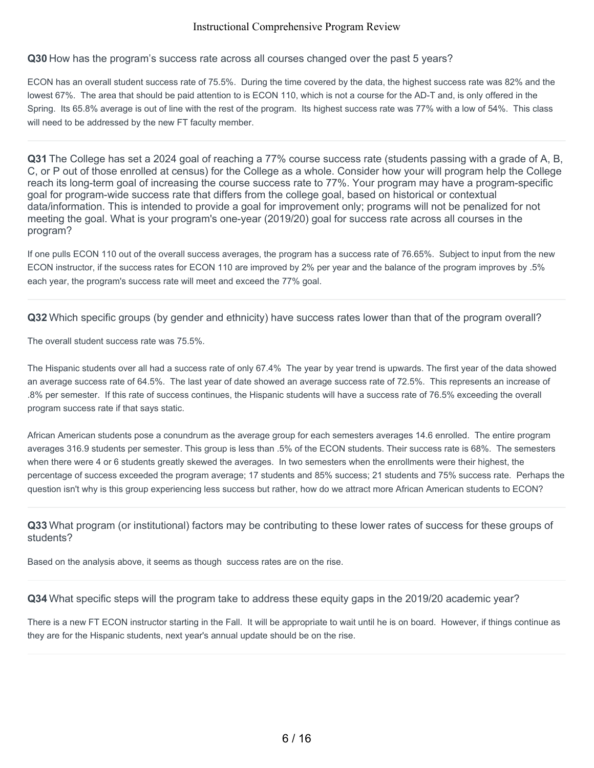**Q30** How has the program's success rate across all courses changed over the past 5 years?

ECON has an overall student success rate of 75.5%. During the time covered by the data, the highest success rate was 82% and the lowest 67%. The area that should be paid attention to is ECON 110, which is not a course for the AD-T and, is only offered in the Spring. Its 65.8% average is out of line with the rest of the program. Its highest success rate was 77% with a low of 54%. This class will need to be addressed by the new FT faculty member.

**Q31** The College has set a 2024 goal of reaching a 77% course success rate (students passing with a grade of A, B, C, or P out of those enrolled at census) for the College as a whole. Consider how your will program help the College reach its long-term goal of increasing the course success rate to 77%. Your program may have a program-specific goal for program-wide success rate that differs from the college goal, based on historical or contextual data/information. This is intended to provide a goal for improvement only; programs will not be penalized for not meeting the goal. What is your program's one-year (2019/20) goal for success rate across all courses in the program?

If one pulls ECON 110 out of the overall success averages, the program has a success rate of 76.65%. Subject to input from the new ECON instructor, if the success rates for ECON 110 are improved by 2% per year and the balance of the program improves by .5% each year, the program's success rate will meet and exceed the 77% goal.

**Q32** Which specific groups (by gender and ethnicity) have success rates lower than that of the program overall?

The overall student success rate was 75.5%.

The Hispanic students over all had a success rate of only 67.4% The year by year trend is upwards. The first year of the data showed an average success rate of 64.5%. The last year of date showed an average success rate of 72.5%. This represents an increase of .8% per semester. If this rate of success continues, the Hispanic students will have a success rate of 76.5% exceeding the overall program success rate if that says static.

African American students pose a conundrum as the average group for each semesters averages 14.6 enrolled. The entire program averages 316.9 students per semester. This group is less than .5% of the ECON students. Their success rate is 68%. The semesters when there were 4 or 6 students greatly skewed the averages. In two semesters when the enrollments were their highest, the percentage of success exceeded the program average; 17 students and 85% success; 21 students and 75% success rate. Perhaps the question isn't why is this group experiencing less success but rather, how do we attract more African American students to ECON?

**Q33** What program (or institutional) factors may be contributing to these lower rates of success for these groups of students?

Based on the analysis above, it seems as though success rates are on the rise.

**Q34** What specific steps will the program take to address these equity gaps in the 2019/20 academic year?

There is a new FT ECON instructor starting in the Fall. It will be appropriate to wait until he is on board. However, if things continue as they are for the Hispanic students, next year's annual update should be on the rise.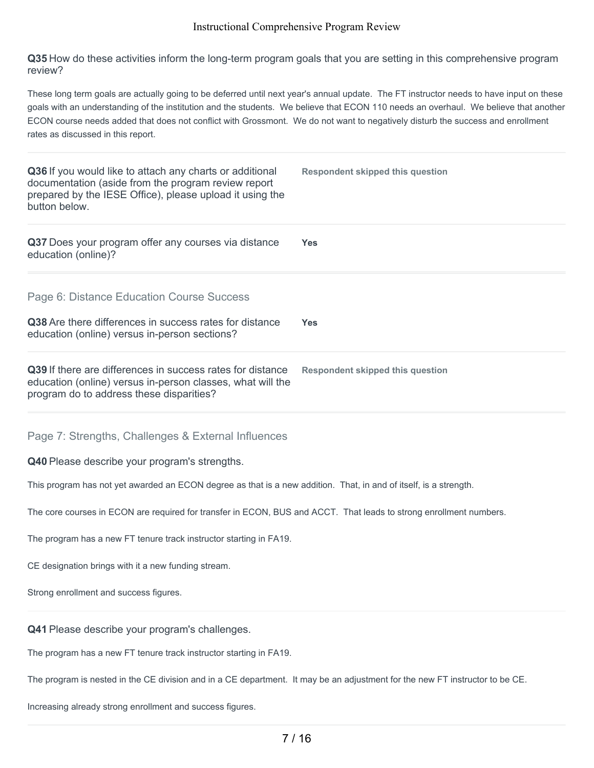**Q35** How do these activities inform the long-term program goals that you are setting in this comprehensive program review?

These long term goals are actually going to be deferred until next year's annual update. The FT instructor needs to have input on these goals with an understanding of the institution and the students. We believe that ECON 110 needs an overhaul. We believe that another ECON course needs added that does not conflict with Grossmont. We do not want to negatively disturb the success and enrollment rates as discussed in this report.

| Q36 If you would like to attach any charts or additional<br>documentation (aside from the program review report<br>prepared by the IESE Office), please upload it using the<br>button below. | <b>Respondent skipped this question</b> |
|----------------------------------------------------------------------------------------------------------------------------------------------------------------------------------------------|-----------------------------------------|
| Q37 Does your program offer any courses via distance<br>education (online)?                                                                                                                  | <b>Yes</b>                              |
| Page 6: Distance Education Course Success                                                                                                                                                    |                                         |
| Q38 Are there differences in success rates for distance<br>education (online) versus in-person sections?                                                                                     | Yes                                     |
| Q39 If there are differences in success rates for distance<br>education (online) versus in-person classes, what will the<br>program do to address these disparities?                         | <b>Respondent skipped this question</b> |
| Page 7: Strengths, Challenges & External Influences                                                                                                                                          |                                         |
| Q40 Please describe your program's strengths.                                                                                                                                                |                                         |
| This program has not yet awarded an ECON degree as that is a new addition. That, in and of itself, is a strength.                                                                            |                                         |
| The core courses in ECON are required for transfer in ECON, BUS and ACCT. That leads to strong enrollment numbers.                                                                           |                                         |
| The program has a new FT tenure track instructor starting in FA19.                                                                                                                           |                                         |

CE designation brings with it a new funding stream.

Strong enrollment and success figures.

**Q41** Please describe your program's challenges.

The program has a new FT tenure track instructor starting in FA19.

The program is nested in the CE division and in a CE department. It may be an adjustment for the new FT instructor to be CE.

Increasing already strong enrollment and success figures.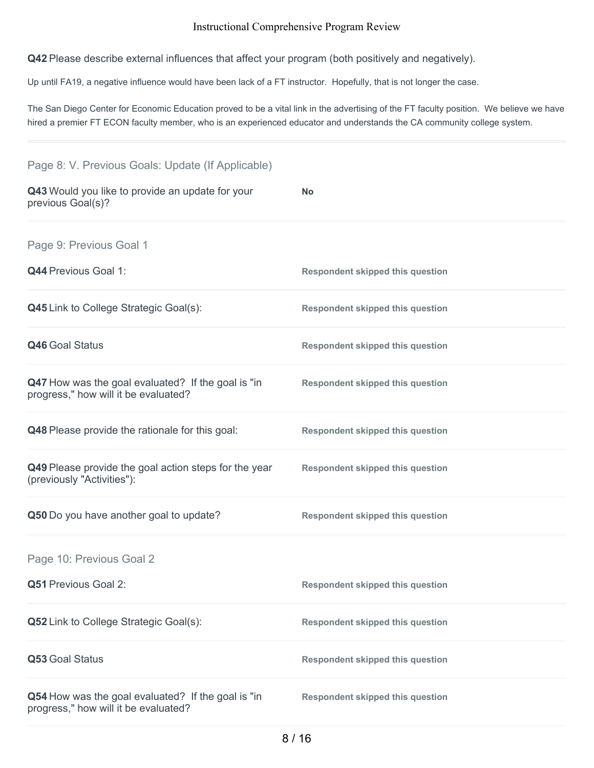**Q42** Please describe external influences that affect your program (both positively and negatively).

Up until FA19, a negative influence would have been lack of a FT instructor. Hopefully, that is not longer the case.

The San Diego Center for Economic Education proved to be a vital link in the advertising of the FT faculty position. We believe we have hired a premier FT ECON faculty member, who is an experienced educator and understands the CA community college system.

# Page 8: V. Previous Goals: Update (If Applicable)

| Q43 Would you like to provide an update for your<br>previous Goal(s)?                      | <b>No</b>                               |
|--------------------------------------------------------------------------------------------|-----------------------------------------|
| Page 9: Previous Goal 1                                                                    |                                         |
| <b>Q44 Previous Goal 1:</b>                                                                | <b>Respondent skipped this question</b> |
| <b>Q45</b> Link to College Strategic Goal(s):                                              | <b>Respondent skipped this question</b> |
| Q46 Goal Status                                                                            | <b>Respondent skipped this question</b> |
| Q47 How was the goal evaluated? If the goal is "in<br>progress," how will it be evaluated? | <b>Respondent skipped this question</b> |
| Q48 Please provide the rationale for this goal:                                            | <b>Respondent skipped this question</b> |
| Q49 Please provide the goal action steps for the year<br>(previously "Activities"):        | <b>Respondent skipped this question</b> |
| Q50 Do you have another goal to update?                                                    | <b>Respondent skipped this question</b> |
| Page 10: Previous Goal 2                                                                   |                                         |
| Q51 Previous Goal 2:                                                                       | <b>Respondent skipped this question</b> |
| Q52 Link to College Strategic Goal(s):                                                     | <b>Respondent skipped this question</b> |
| Q53 Goal Status                                                                            | <b>Respondent skipped this question</b> |
| Q54 How was the goal evaluated? If the goal is "in<br>progress," how will it be evaluated? | <b>Respondent skipped this question</b> |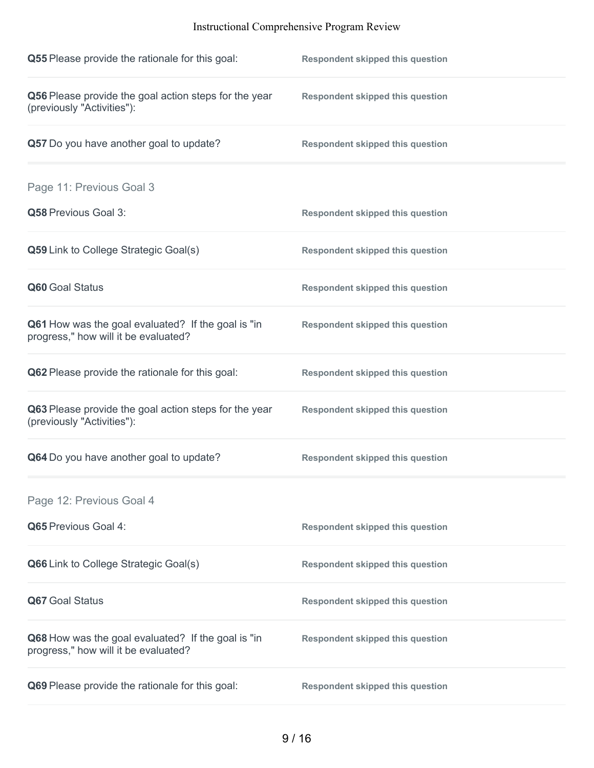| Q55 Please provide the rationale for this goal:                                            | <b>Respondent skipped this question</b> |
|--------------------------------------------------------------------------------------------|-----------------------------------------|
| Q56 Please provide the goal action steps for the year<br>(previously "Activities"):        | <b>Respondent skipped this question</b> |
| Q57 Do you have another goal to update?                                                    | <b>Respondent skipped this question</b> |
| Page 11: Previous Goal 3                                                                   |                                         |
| Q58 Previous Goal 3:                                                                       | <b>Respondent skipped this question</b> |
| Q59 Link to College Strategic Goal(s)                                                      | <b>Respondent skipped this question</b> |
| Q60 Goal Status                                                                            | <b>Respondent skipped this question</b> |
| Q61 How was the goal evaluated? If the goal is "in<br>progress," how will it be evaluated? | <b>Respondent skipped this question</b> |
| Q62 Please provide the rationale for this goal:                                            | <b>Respondent skipped this question</b> |
| Q63 Please provide the goal action steps for the year<br>(previously "Activities"):        | <b>Respondent skipped this question</b> |
| Q64 Do you have another goal to update?                                                    | <b>Respondent skipped this question</b> |
| Page 12: Previous Goal 4                                                                   |                                         |
| Q65 Previous Goal 4:                                                                       | <b>Respondent skipped this question</b> |
| Q66 Link to College Strategic Goal(s)                                                      | <b>Respondent skipped this question</b> |
| Q67 Goal Status                                                                            | <b>Respondent skipped this question</b> |
| Q68 How was the goal evaluated? If the goal is "in<br>progress," how will it be evaluated? | <b>Respondent skipped this question</b> |
| Q69 Please provide the rationale for this goal:                                            | <b>Respondent skipped this question</b> |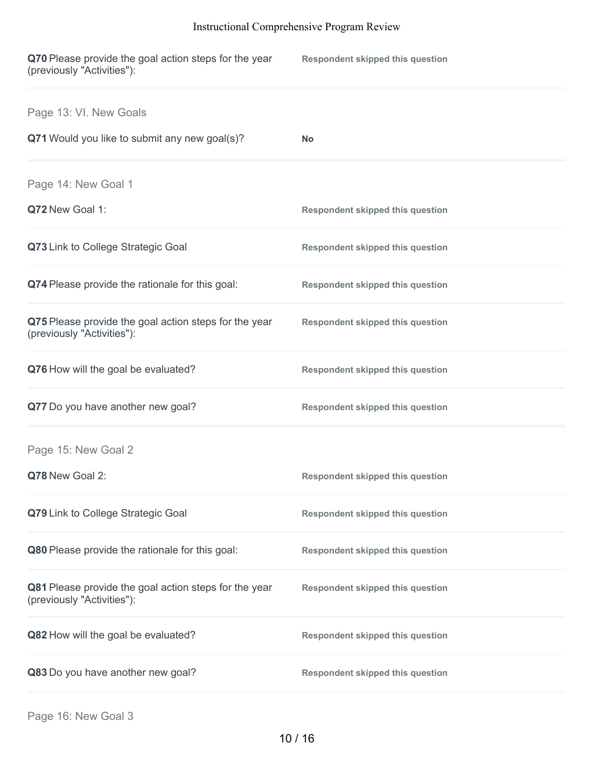| Q70 Please provide the goal action steps for the year<br>(previously "Activities"): | <b>Respondent skipped this question</b> |
|-------------------------------------------------------------------------------------|-----------------------------------------|
| Page 13: VI. New Goals                                                              |                                         |
| Q71 Would you like to submit any new goal(s)?                                       | <b>No</b>                               |
| Page 14: New Goal 1                                                                 |                                         |
| Q72 New Goal 1:                                                                     | <b>Respondent skipped this question</b> |
| Q73 Link to College Strategic Goal                                                  | <b>Respondent skipped this question</b> |
| Q74 Please provide the rationale for this goal:                                     | <b>Respondent skipped this question</b> |
| Q75 Please provide the goal action steps for the year<br>(previously "Activities"): | <b>Respondent skipped this question</b> |
| Q76 How will the goal be evaluated?                                                 | <b>Respondent skipped this question</b> |
| Q77 Do you have another new goal?                                                   | <b>Respondent skipped this question</b> |
| Page 15: New Goal 2                                                                 |                                         |
| Q78 New Goal 2:                                                                     | <b>Respondent skipped this question</b> |
| Q79 Link to College Strategic Goal                                                  | <b>Respondent skipped this question</b> |
| Q80 Please provide the rationale for this goal:                                     | <b>Respondent skipped this question</b> |
| Q81 Please provide the goal action steps for the year<br>(previously "Activities"): | <b>Respondent skipped this question</b> |
| Q82 How will the goal be evaluated?                                                 | <b>Respondent skipped this question</b> |
| Q83 Do you have another new goal?                                                   | <b>Respondent skipped this question</b> |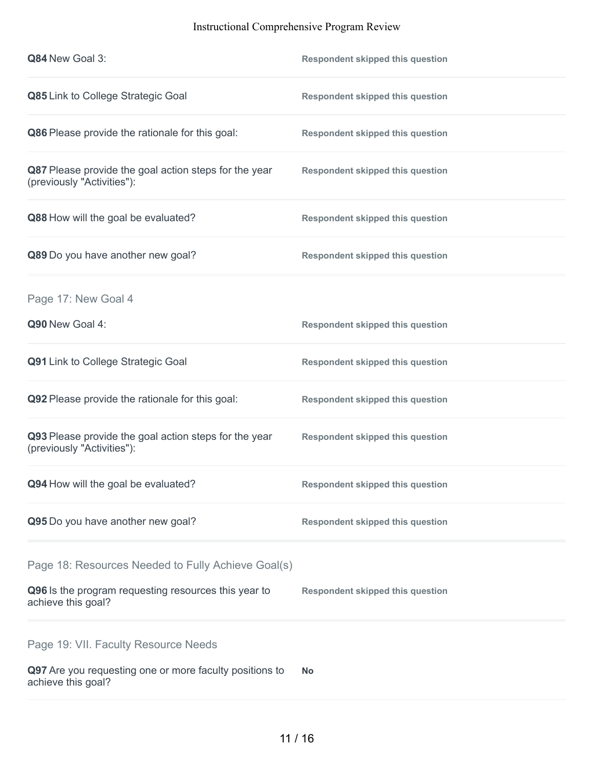| Q84 New Goal 3:                                                                     | <b>Respondent skipped this question</b> |
|-------------------------------------------------------------------------------------|-----------------------------------------|
| Q85 Link to College Strategic Goal                                                  | <b>Respondent skipped this question</b> |
| Q86 Please provide the rationale for this goal:                                     | <b>Respondent skipped this question</b> |
| Q87 Please provide the goal action steps for the year<br>(previously "Activities"): | <b>Respondent skipped this question</b> |
| Q88 How will the goal be evaluated?                                                 | <b>Respondent skipped this question</b> |
| Q89 Do you have another new goal?                                                   | <b>Respondent skipped this question</b> |
| Page 17: New Goal 4                                                                 |                                         |
| Q90 New Goal 4:                                                                     | <b>Respondent skipped this question</b> |
| Q91 Link to College Strategic Goal                                                  | <b>Respondent skipped this question</b> |
| Q92 Please provide the rationale for this goal:                                     | <b>Respondent skipped this question</b> |
| Q93 Please provide the goal action steps for the year<br>(previously "Activities"): | <b>Respondent skipped this question</b> |
| Q94 How will the goal be evaluated?                                                 | <b>Respondent skipped this question</b> |
| Q95 Do you have another new goal?                                                   | <b>Respondent skipped this question</b> |
| Page 18: Resources Needed to Fully Achieve Goal(s)                                  |                                         |
| Q96 Is the program requesting resources this year to<br>achieve this goal?          | <b>Respondent skipped this question</b> |
| Page 19: VII. Faculty Resource Needs                                                |                                         |
| Q97 Are you requesting one or more faculty positions to<br>achieve this goal?       | <b>No</b>                               |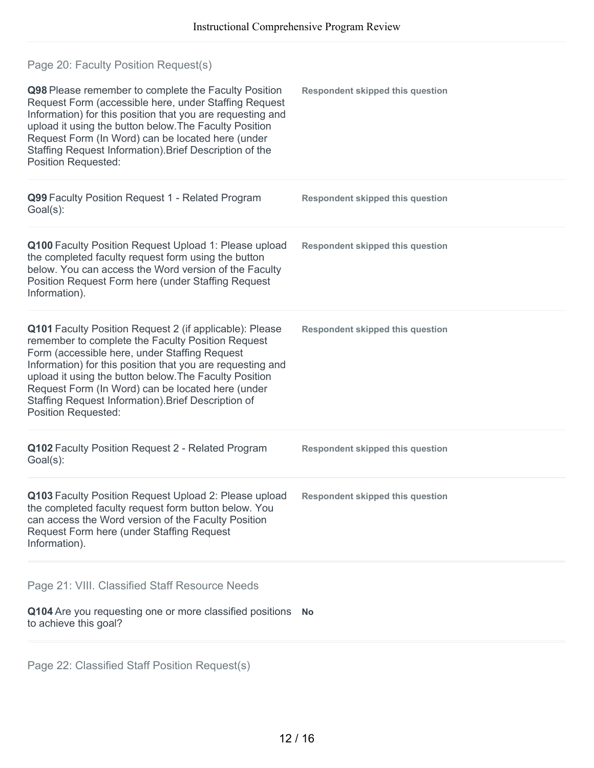| Page 20: Faculty Position Request(s)                                                                                                                                                                                                                                                                                                                                                                                            |                                         |
|---------------------------------------------------------------------------------------------------------------------------------------------------------------------------------------------------------------------------------------------------------------------------------------------------------------------------------------------------------------------------------------------------------------------------------|-----------------------------------------|
| Q98 Please remember to complete the Faculty Position<br>Request Form (accessible here, under Staffing Request<br>Information) for this position that you are requesting and<br>upload it using the button below. The Faculty Position<br>Request Form (In Word) can be located here (under<br>Staffing Request Information). Brief Description of the<br><b>Position Requested:</b>                                             | <b>Respondent skipped this question</b> |
| Q99 Faculty Position Request 1 - Related Program<br>Goal(s):                                                                                                                                                                                                                                                                                                                                                                    | <b>Respondent skipped this question</b> |
| Q100 Faculty Position Request Upload 1: Please upload<br>the completed faculty request form using the button<br>below. You can access the Word version of the Faculty<br>Position Request Form here (under Staffing Request<br>Information).                                                                                                                                                                                    | <b>Respondent skipped this question</b> |
| Q101 Faculty Position Request 2 (if applicable): Please<br>remember to complete the Faculty Position Request<br>Form (accessible here, under Staffing Request<br>Information) for this position that you are requesting and<br>upload it using the button below. The Faculty Position<br>Request Form (In Word) can be located here (under<br>Staffing Request Information). Brief Description of<br><b>Position Requested:</b> | <b>Respondent skipped this question</b> |
| Q102 Faculty Position Request 2 - Related Program<br>Goal(s):                                                                                                                                                                                                                                                                                                                                                                   | <b>Respondent skipped this question</b> |
| Q103 Faculty Position Request Upload 2: Please upload<br>the completed faculty request form button below. You<br>can access the Word version of the Faculty Position<br>Request Form here (under Staffing Request<br>Information).                                                                                                                                                                                              | <b>Respondent skipped this question</b> |
| Page 21: VIII. Classified Staff Resource Needs                                                                                                                                                                                                                                                                                                                                                                                  |                                         |
| Q104 Are you requesting one or more classified positions No<br>to achieve this goal?                                                                                                                                                                                                                                                                                                                                            |                                         |

Page 22: Classified Staff Position Request(s)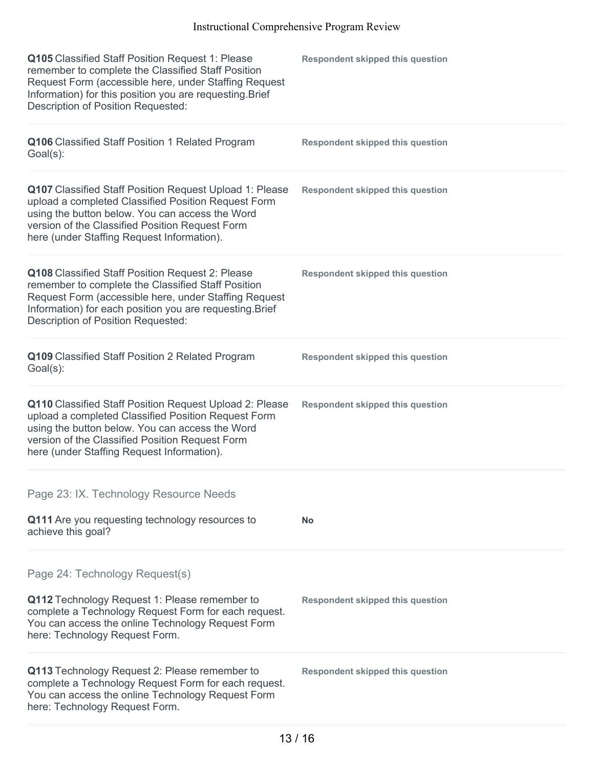| Q105 Classified Staff Position Request 1: Please<br>remember to complete the Classified Staff Position<br>Request Form (accessible here, under Staffing Request<br>Information) for this position you are requesting. Brief<br>Description of Position Requested:  | <b>Respondent skipped this question</b> |
|--------------------------------------------------------------------------------------------------------------------------------------------------------------------------------------------------------------------------------------------------------------------|-----------------------------------------|
| Q106 Classified Staff Position 1 Related Program<br>Goal(s):                                                                                                                                                                                                       | <b>Respondent skipped this question</b> |
| Q107 Classified Staff Position Request Upload 1: Please<br>upload a completed Classified Position Request Form<br>using the button below. You can access the Word<br>version of the Classified Position Request Form<br>here (under Staffing Request Information). | <b>Respondent skipped this question</b> |
| Q108 Classified Staff Position Request 2: Please<br>remember to complete the Classified Staff Position<br>Request Form (accessible here, under Staffing Request<br>Information) for each position you are requesting. Brief<br>Description of Position Requested:  | <b>Respondent skipped this question</b> |
| Q109 Classified Staff Position 2 Related Program<br>Goal(s):                                                                                                                                                                                                       | <b>Respondent skipped this question</b> |
| Q110 Classified Staff Position Request Upload 2: Please<br>upload a completed Classified Position Request Form<br>using the button below. You can access the Word<br>version of the Classified Position Request Form<br>here (under Staffing Request Information). | <b>Respondent skipped this question</b> |
| Page 23: IX. Technology Resource Needs                                                                                                                                                                                                                             |                                         |
| Q111 Are you requesting technology resources to<br>achieve this goal?                                                                                                                                                                                              | No                                      |
| Page 24: Technology Request(s)                                                                                                                                                                                                                                     |                                         |
| Q112 Technology Request 1: Please remember to<br>complete a Technology Request Form for each request.<br>You can access the online Technology Request Form<br>here: Technology Request Form.                                                                       | <b>Respondent skipped this question</b> |
| Q113 Technology Request 2: Please remember to<br>complete a Technology Request Form for each request.<br>You can access the online Technology Request Form<br>here: Technology Request Form.                                                                       | <b>Respondent skipped this question</b> |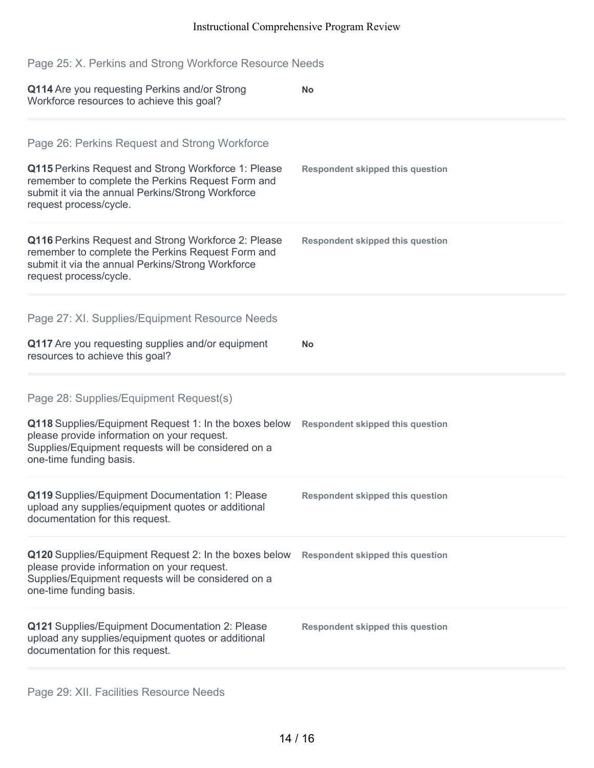Page 25: X. Perkins and Strong Workforce Resource Needs

| Q114 Are you requesting Perkins and/or Strong<br>Workforce resources to achieve this goal?                                                                                                                                               | No                                      |
|------------------------------------------------------------------------------------------------------------------------------------------------------------------------------------------------------------------------------------------|-----------------------------------------|
| Page 26: Perkins Request and Strong Workforce<br>Q115 Perkins Request and Strong Workforce 1: Please<br>remember to complete the Perkins Request Form and<br>submit it via the annual Perkins/Strong Workforce<br>request process/cycle. | <b>Respondent skipped this question</b> |
| Q116 Perkins Request and Strong Workforce 2: Please<br>remember to complete the Perkins Request Form and<br>submit it via the annual Perkins/Strong Workforce<br>request process/cycle.                                                  | <b>Respondent skipped this question</b> |
| Page 27: XI. Supplies/Equipment Resource Needs<br>Q117 Are you requesting supplies and/or equipment<br>resources to achieve this goal?                                                                                                   | No                                      |
| Page 28: Supplies/Equipment Request(s)<br>Q118 Supplies/Equipment Request 1: In the boxes below<br>please provide information on your request.<br>Supplies/Equipment requests will be considered on a<br>one-time funding basis.         | <b>Respondent skipped this question</b> |
| Q119 Supplies/Equipment Documentation 1: Please<br>upload any supplies/equipment quotes or additional<br>documentation for this request.                                                                                                 | <b>Respondent skipped this question</b> |
| Q120 Supplies/Equipment Request 2: In the boxes below<br>please provide information on your request.<br>Supplies/Equipment requests will be considered on a<br>one-time funding basis.                                                   | <b>Respondent skipped this question</b> |
| Q121 Supplies/Equipment Documentation 2: Please<br>upload any supplies/equipment quotes or additional<br>documentation for this request.                                                                                                 | <b>Respondent skipped this question</b> |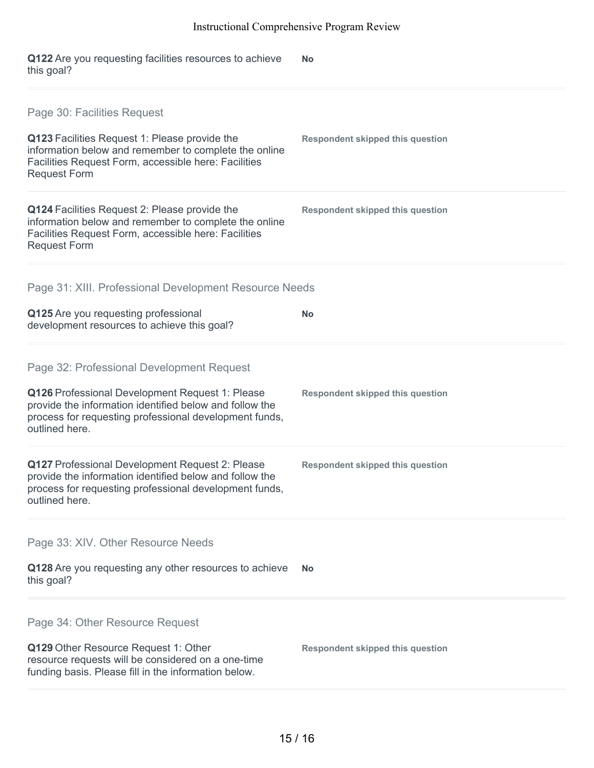**Q122** Are you requesting facilities resources to achieve this goal? **No Q123** Facilities Request 1: Please provide the information below and remember to complete the online Facilities Request Form, accessible here: Facilities Request Form **Respondent skipped this question Q124** Facilities Request 2: Please provide the information below and remember to complete the online Facilities Request Form, accessible here: Facilities Request Form **Respondent skipped this question Q125** Are you requesting professional development resources to achieve this goal? **No Q126** Professional Development Request 1: Please provide the information identified below and follow the process for requesting professional development funds, outlined here. **Respondent skipped this question Q127** Professional Development Request 2: Please provide the information identified below and follow the process for requesting professional development funds, outlined here. **Respondent skipped this question Q128** Are you requesting any other resources to achieve this goal? **No Q129** Other Resource Request 1: Other resource requests will be considered on a one-time funding basis. Please fill in the information below. **Respondent skipped this question** Page 30: Facilities Request Page 31: XIII. Professional Development Resource Needs Page 32: Professional Development Request Page 33: XIV. Other Resource Needs Page 34: Other Resource Request